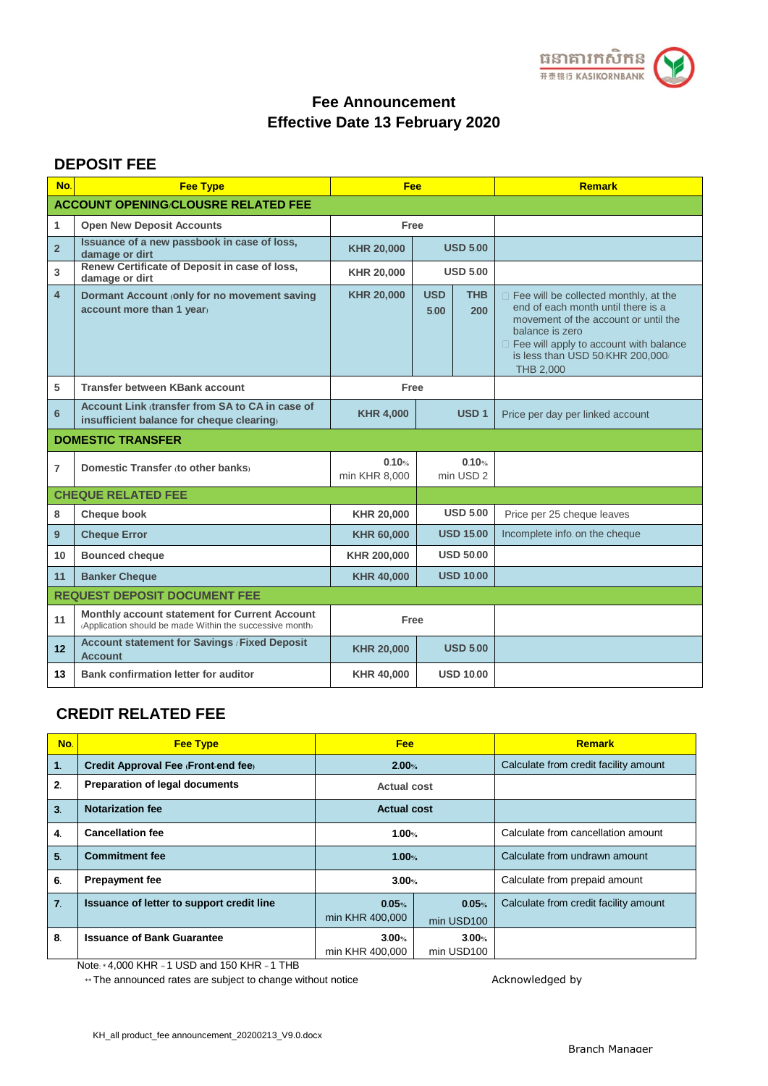

#### **DEPOSIT FEE**

| No.             | <b>Fee Type</b>                                                                                           | Fee                    |                    |                               | <b>Remark</b>                                                                                                                                                                                                                              |  |  |
|-----------------|-----------------------------------------------------------------------------------------------------------|------------------------|--------------------|-------------------------------|--------------------------------------------------------------------------------------------------------------------------------------------------------------------------------------------------------------------------------------------|--|--|
|                 | <b>ACCOUNT OPENING/CLOUSRE RELATED FEE</b>                                                                |                        |                    |                               |                                                                                                                                                                                                                                            |  |  |
| 1               | <b>Open New Deposit Accounts</b>                                                                          | Free                   |                    |                               |                                                                                                                                                                                                                                            |  |  |
| $\overline{2}$  | Issuance of a new passbook in case of loss,<br>damage or dirt                                             | <b>KHR 20,000</b>      |                    | <b>USD 5.00</b>               |                                                                                                                                                                                                                                            |  |  |
| 3               | Renew Certificate of Deposit in case of loss,<br>damage or dirt                                           | <b>KHR 20,000</b>      |                    | <b>USD 5.00</b>               |                                                                                                                                                                                                                                            |  |  |
| 4               | Dormant Account (only for no movement saving<br>account more than 1 year)                                 | <b>KHR 20,000</b>      | <b>USD</b><br>5.00 | <b>THB</b><br>200             | $\Box$ Fee will be collected monthly, at the<br>end of each month until there is a<br>movement of the account or until the<br>balance is zero<br>E Fee will apply to account with balance<br>is less than USD 50/KHR 200,000/<br>THB 2,000 |  |  |
| 5               | <b>Transfer between KBank account</b>                                                                     | Free                   |                    |                               |                                                                                                                                                                                                                                            |  |  |
| 6               | Account Link dransfer from SA to CA in case of<br>insufficient balance for cheque clearing                | <b>KHR 4,000</b>       |                    | USD <sub>1</sub>              | Price per day per linked account                                                                                                                                                                                                           |  |  |
|                 | <b>DOMESTIC TRANSFER</b>                                                                                  |                        |                    |                               |                                                                                                                                                                                                                                            |  |  |
| $\overline{7}$  | Domestic Transfer (to other banks)                                                                        | 0.10%<br>min KHR 8,000 |                    | 0.10%<br>min USD <sub>2</sub> |                                                                                                                                                                                                                                            |  |  |
|                 | <b>CHEQUE RELATED FEE</b>                                                                                 |                        |                    |                               |                                                                                                                                                                                                                                            |  |  |
| 8               | Cheque book                                                                                               | <b>KHR 20,000</b>      |                    | <b>USD 5.00</b>               | Price per 25 cheque leaves                                                                                                                                                                                                                 |  |  |
| 9               | <b>Cheque Error</b>                                                                                       | <b>KHR 60,000</b>      |                    | <b>USD 15.00</b>              | Incomplete info on the cheque                                                                                                                                                                                                              |  |  |
| 10              | <b>Bounced cheque</b>                                                                                     | KHR 200,000            |                    | <b>USD 50.00</b>              |                                                                                                                                                                                                                                            |  |  |
| 11              | <b>Banker Cheque</b>                                                                                      | <b>KHR 40,000</b>      |                    | <b>USD 10.00</b>              |                                                                                                                                                                                                                                            |  |  |
|                 | <b>REQUEST DEPOSIT DOCUMENT FEE</b>                                                                       |                        |                    |                               |                                                                                                                                                                                                                                            |  |  |
| 11              | Monthly account statement for Current Account<br>(Application should be made Within the successive month) | Free                   |                    |                               |                                                                                                                                                                                                                                            |  |  |
| 12 <sup>2</sup> | Account statement for Savings / Fixed Deposit<br><b>Account</b>                                           | <b>KHR 20,000</b>      | <b>USD 5.00</b>    |                               |                                                                                                                                                                                                                                            |  |  |
| 13              | Bank confirmation letter for auditor                                                                      | <b>KHR 40,000</b>      |                    | <b>USD 10.00</b>              |                                                                                                                                                                                                                                            |  |  |

### **CREDIT RELATED FEE**

| No.              | <b>Fee Type</b>                           | <b>Fee</b>               |                     | <b>Remark</b>                         |
|------------------|-------------------------------------------|--------------------------|---------------------|---------------------------------------|
| $\mathbf{1}$     | Credit Approval Fee (Front-end fee)       | 2.00%                    |                     | Calculate from credit facility amount |
| 2 <sub>1</sub>   | <b>Preparation of legal documents</b>     | <b>Actual cost</b>       |                     |                                       |
| 3.               | <b>Notarization fee</b>                   | <b>Actual cost</b>       |                     |                                       |
| 4.               | <b>Cancellation fee</b>                   | 1.00%                    |                     | Calculate from cancellation amount    |
| 5 <sub>1</sub>   | <b>Commitment fee</b>                     | 1.00%                    |                     | Calculate from undrawn amount         |
| 6.               | <b>Prepayment fee</b>                     | 3.00%                    |                     | Calculate from prepaid amount         |
| $\overline{7}$ . | Issuance of letter to support credit line | 0.05%<br>min KHR 400,000 | 0.05%<br>min USD100 | Calculate from credit facility amount |
| 8.               | <b>Issuance of Bank Guarantee</b>         | 3.00%<br>min KHR 400,000 | 3.00%<br>min USD100 |                                       |

Note: \* 4,000 KHR = 1 USD and 150 KHR = 1 THB

\*\* The announced rates are subject to change without notice Acknowledged by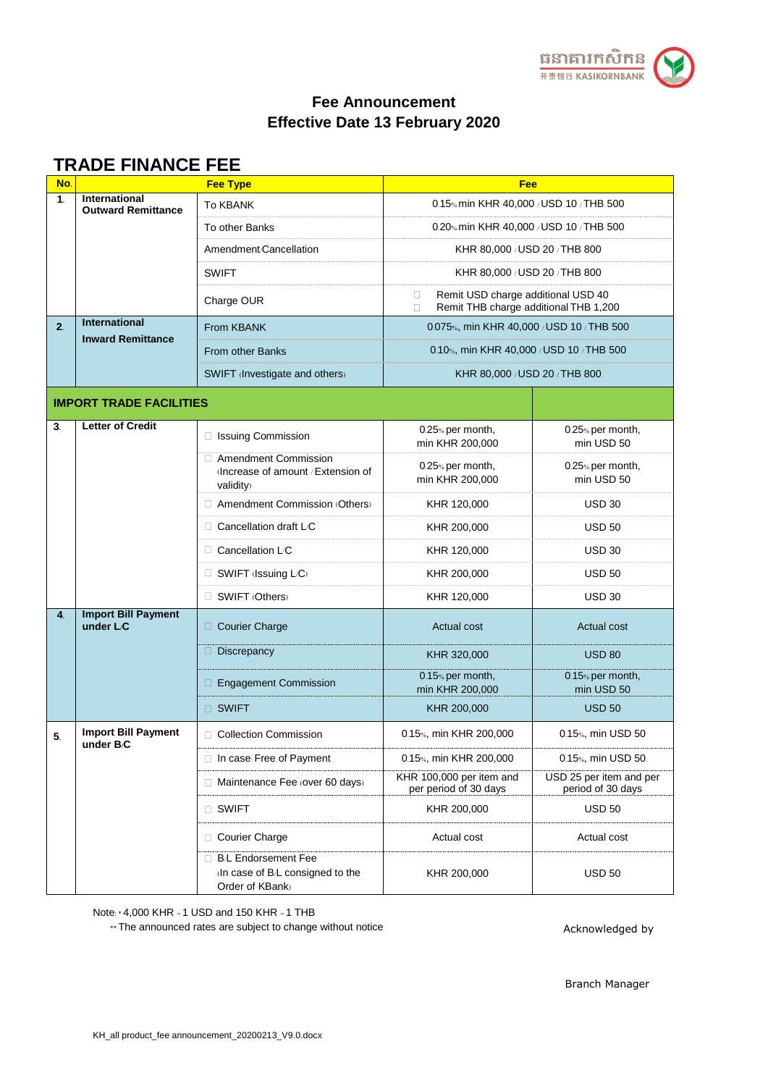

## **TRADE FINANCE FEE**

| No.            | <b>Fee Type</b>                                   |                                                                                          | Fee                                                                                        |                                              |  |  |
|----------------|---------------------------------------------------|------------------------------------------------------------------------------------------|--------------------------------------------------------------------------------------------|----------------------------------------------|--|--|
| 1.             | <b>International</b><br><b>Outward Remittance</b> | <b>To KBANK</b>                                                                          | 0.15% min KHR 40,000 / USD 10 / THB 500                                                    |                                              |  |  |
|                |                                                   | To other Banks                                                                           | 0.20% min KHR 40,000 / USD 10 / THB 500                                                    |                                              |  |  |
|                |                                                   | Amendment/Cancellation                                                                   | KHR 80,000 / USD 20 / THB 800                                                              |                                              |  |  |
|                |                                                   | <b>SWIFT</b>                                                                             | KHR 80,000 / USD 20 / THB 800                                                              |                                              |  |  |
|                |                                                   | Charge OUR                                                                               | Remit USD charge additional USD 40<br>□<br>Remit THB charge additional THB 1,200<br>$\Box$ |                                              |  |  |
| 2 <sub>1</sub> | <b>International</b>                              | From KBANK                                                                               | 0.075%, min KHR 40,000 / USD 10 / THB 500                                                  |                                              |  |  |
|                | <b>Inward Remittance</b>                          | <b>From other Banks</b>                                                                  | 0.10%, min KHR 40,000 / USD 10 / THB 500                                                   |                                              |  |  |
|                |                                                   | SWIFT (Investigate and others)                                                           | KHR 80,000 / USD 20 / THB 800                                                              |                                              |  |  |
|                | <b>IMPORT TRADE FACILITIES</b>                    |                                                                                          |                                                                                            |                                              |  |  |
| 3.             | <b>Letter of Credit</b>                           | □ Issuing Commission                                                                     | 0.25% per month,<br>min KHR 200,000                                                        | 0.25% per month,<br>min USD 50               |  |  |
|                |                                                   | <b>Amendment Commission</b><br>$\Box$<br>(Increase of amount / Extension of<br>validity) | 0.25% per month,<br>min KHR 200,000                                                        | 0.25% per month,<br>min USD 50               |  |  |
|                |                                                   | □ Amendment Commission (Others)                                                          | KHR 120,000                                                                                | <b>USD 30</b>                                |  |  |
|                |                                                   | Cancellation draft L/C<br>$\Box$                                                         | KHR 200,000                                                                                | <b>USD 50</b>                                |  |  |
|                |                                                   | $\Box$ Cancellation L/C                                                                  | KHR 120,000                                                                                | <b>USD 30</b>                                |  |  |
|                |                                                   | $\Box$ SWIFT (Issuing L/C)                                                               | KHR 200,000                                                                                | <b>USD 50</b>                                |  |  |
|                |                                                   | SWIFT (Others)                                                                           | KHR 120,000                                                                                | <b>USD 30</b>                                |  |  |
| 4 <sup>1</sup> | <b>Import Bill Payment</b><br>under L/C           | $\Box$ Courier Charge                                                                    | <b>Actual cost</b>                                                                         | <b>Actual cost</b>                           |  |  |
|                |                                                   | Discrepancy                                                                              | KHR 320,000                                                                                | <b>USD 80</b>                                |  |  |
|                |                                                   | <b>Engagement Commission</b><br>Π.                                                       | 0.15% per month,<br>min KHR 200,000                                                        | 0.15% per month,<br>min USD 50               |  |  |
|                |                                                   | □ SWIFT                                                                                  | KHR 200,000                                                                                | <b>USD 50</b>                                |  |  |
| 5.             | <b>Import Bill Payment</b><br>under B/C           | Collection Commission                                                                    | 0.15%, min KHR 200,000                                                                     | 0.15%, min USD 50                            |  |  |
|                |                                                   | $\Box$ In case: Free of Payment                                                          | 0.15%, min KHR 200,000                                                                     | 0.15%, min USD 50                            |  |  |
|                |                                                   | $\Box$ Maintenance Fee (over 60 days)                                                    | KHR 100,000 per item and<br>per period of 30 days                                          | USD 25 per item and per<br>period of 30 days |  |  |
|                |                                                   | □ SWIFT                                                                                  | KHR 200,000                                                                                | <b>USD 50</b>                                |  |  |
|                |                                                   | □ Courier Charge                                                                         | Actual cost                                                                                | Actual cost                                  |  |  |
|                |                                                   | □ B/L Endorsement Fee<br>$\ln$ case of B/L consigned to the<br>Order of KBank)           | KHR 200,000                                                                                | <b>USD 50</b>                                |  |  |

Note: \* 4,000 KHR = 1 USD and 150 KHR = 1 THB

\*\* The announced rates are subject to change without notice

Acknowledged by

Branch Manager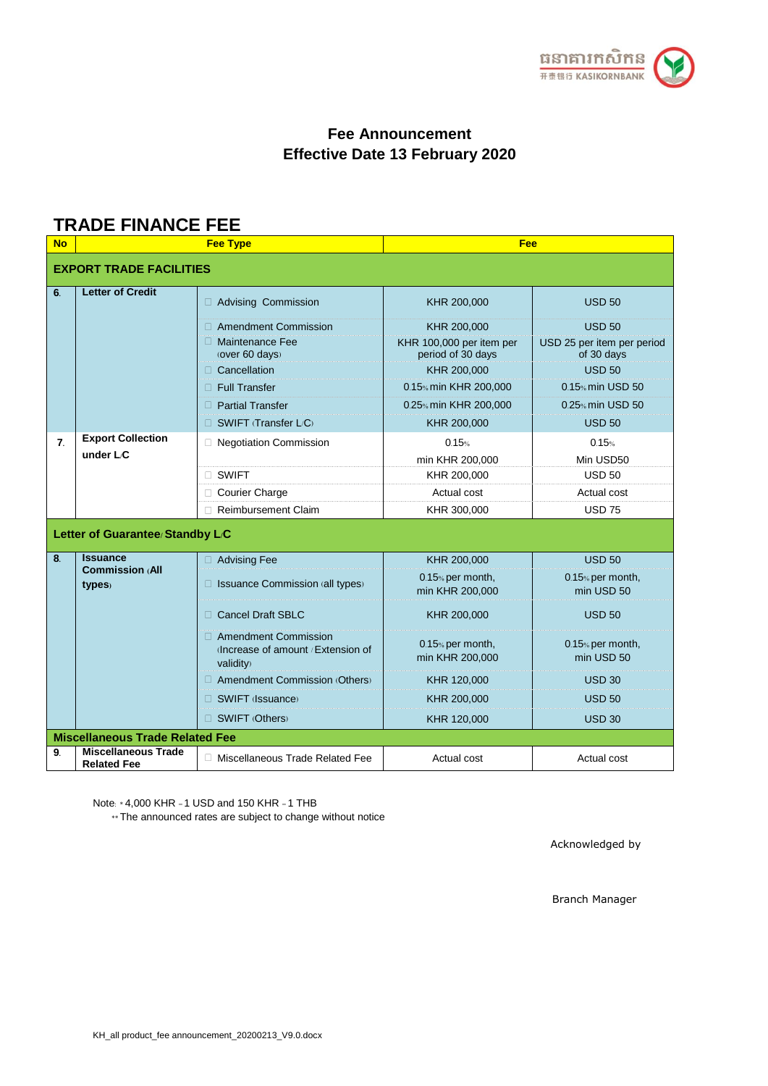

# **TRADE FINANCE FEE**

| <b>No</b>                       | <b>Fee Type</b>                                  |                                                                                               | Fee                                                                         |                                                                            |  |  |
|---------------------------------|--------------------------------------------------|-----------------------------------------------------------------------------------------------|-----------------------------------------------------------------------------|----------------------------------------------------------------------------|--|--|
|                                 | <b>EXPORT TRADE FACILITIES</b>                   |                                                                                               |                                                                             |                                                                            |  |  |
| 6.                              | <b>Letter of Credit</b>                          | Advising Commission                                                                           | KHR 200,000                                                                 | <b>USD 50</b>                                                              |  |  |
|                                 |                                                  | <b>Amendment Commission</b><br>П.<br>$\Box$ Maintenance Fee<br>(over 60 days)<br>Cancellation | KHR 200,000<br>KHR 100,000 per item per<br>period of 30 days<br>KHR 200,000 | <b>USD 50</b><br>USD 25 per item per period<br>of 30 days<br><b>USD 50</b> |  |  |
|                                 |                                                  | <b>Full Transfer</b>                                                                          | 0.15% min KHR 200,000                                                       | 0.15% min USD 50                                                           |  |  |
|                                 |                                                  | <b>Partial Transfer</b><br>n.                                                                 | 0.25% min KHR 200,000                                                       | 0.25% min USD 50                                                           |  |  |
|                                 |                                                  | SWIFT (Transfer L/C)<br>П.                                                                    | KHR 200,000                                                                 | <b>USD 50</b>                                                              |  |  |
| $\overline{7}$ .                | <b>Export Collection</b><br>under $L \mathbf{C}$ | □ Negotiation Commission                                                                      | 0.15%<br>min KHR 200,000                                                    | 0.15%<br>Min USD50                                                         |  |  |
|                                 |                                                  | □ SWIFT                                                                                       | KHR 200,000                                                                 | <b>USD 50</b>                                                              |  |  |
|                                 |                                                  | <b>Courier Charge</b><br>$\Box$                                                               | Actual cost                                                                 | Actual cost                                                                |  |  |
|                                 |                                                  | <b>Reimbursement Claim</b><br>П.                                                              | KHR 300,000                                                                 | <b>USD 75</b>                                                              |  |  |
| Letter of Guarantee/Standby L/C |                                                  |                                                                                               |                                                                             |                                                                            |  |  |
| 8 <sub>1</sub>                  | <b>Issuance</b><br><b>Commission (All</b>        | □ Advising Fee                                                                                | KHR 200,000                                                                 | <b>USD 50</b>                                                              |  |  |
|                                 | types)                                           | $\Box$ Issuance Commission (all types)                                                        | 0.15% per month,<br>min KHR 200,000                                         | 0.15% per month,<br>min USD 50                                             |  |  |
|                                 |                                                  | <b>Cancel Draft SBLC</b><br>П.                                                                | KHR 200,000                                                                 | <b>USD 50</b>                                                              |  |  |
|                                 |                                                  | Amendment Commission<br>Increase of amount / Extension of<br>validity)                        | 0.15% per month,<br>min KHR 200,000                                         | 0.15% per month,<br>min USD 50                                             |  |  |
|                                 |                                                  | □ Amendment Commission (Others)                                                               | KHR 120,000                                                                 | USD <sub>30</sub>                                                          |  |  |
|                                 |                                                  | $\Box$ SWIFT (Issuance)                                                                       | KHR 200,000                                                                 | <b>USD 50</b>                                                              |  |  |
|                                 |                                                  | $\Box$ SWIFT (Others)                                                                         | KHR 120,000                                                                 | <b>USD 30</b>                                                              |  |  |
|                                 | <b>Miscellaneous Trade Related Fee</b>           |                                                                                               |                                                                             |                                                                            |  |  |
| 9.                              | <b>Miscellaneous Trade</b><br><b>Related Fee</b> | □ Miscellaneous Trade Related Fee                                                             | Actual cost                                                                 | Actual cost                                                                |  |  |

Note: \* 4,000 KHR = 1 USD and 150 KHR = 1 THB

\*\* The announced rates are subject to change without notice

Acknowledged by

Branch Manager